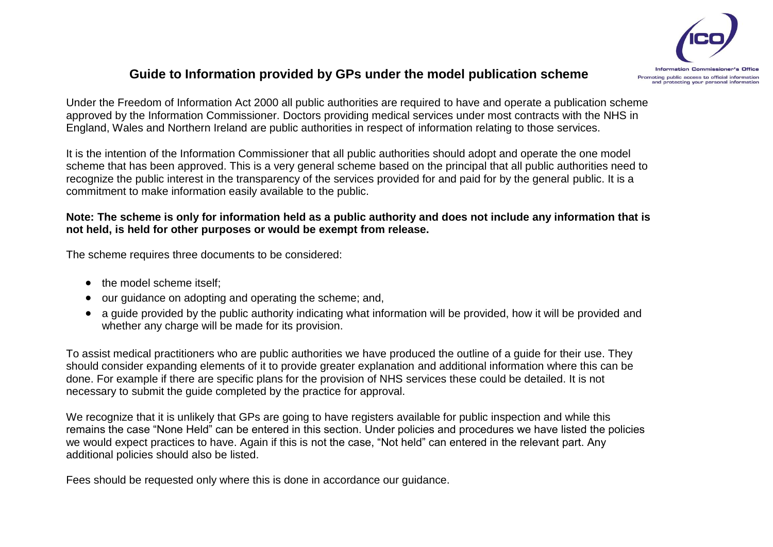

## **Guide to Information provided by GPs under the model publication scheme**

Under the Freedom of Information Act 2000 all public authorities are required to have and operate a publication scheme approved by the Information Commissioner. Doctors providing medical services under most contracts with the NHS in England, Wales and Northern Ireland are public authorities in respect of information relating to those services.

It is the intention of the Information Commissioner that all public authorities should adopt and operate the one model scheme that has been approved. This is a very general scheme based on the principal that all public authorities need to recognize the public interest in the transparency of the services provided for and paid for by the general public. It is a commitment to make information easily available to the public.

## **Note: The scheme is only for information held as a public authority and does not include any information that is not held, is held for other purposes or would be exempt from release.**

The scheme requires three documents to be considered:

- the model scheme itself:
- our guidance on adopting and operating the scheme; and,
- a guide provided by the public authority indicating what information will be provided, how it will be provided and whether any charge will be made for its provision.

To assist medical practitioners who are public authorities we have produced the outline of a guide for their use. They should consider expanding elements of it to provide greater explanation and additional information where this can be done. For example if there are specific plans for the provision of NHS services these could be detailed. It is not necessary to submit the guide completed by the practice for approval.

We recognize that it is unlikely that GPs are going to have registers available for public inspection and while this remains the case "None Held" can be entered in this section. Under policies and procedures we have listed the policies we would expect practices to have. Again if this is not the case, "Not held" can entered in the relevant part. Any additional policies should also be listed.

Fees should be requested only where this is done in accordance our quidance.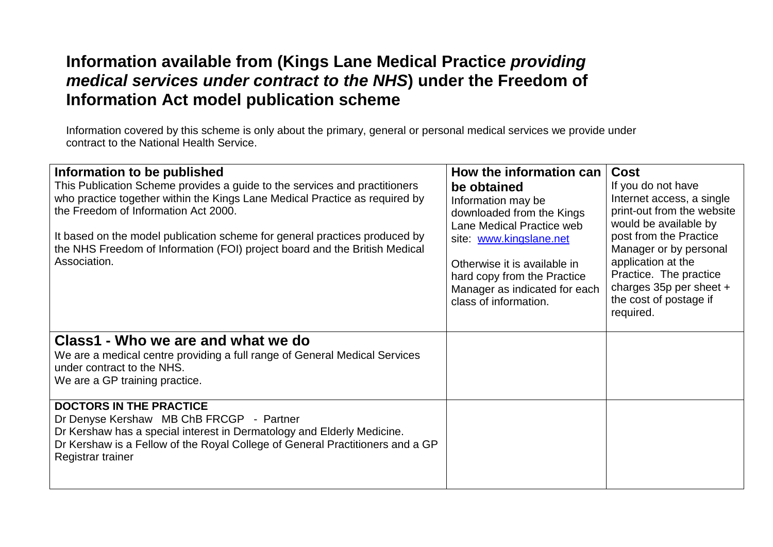## **Information available from (Kings Lane Medical Practice** *providing medical services under contract to the NHS***) under the Freedom of Information Act model publication scheme**

Information covered by this scheme is only about the primary, general or personal medical services we provide under contract to the National Health Service.

| Information to be published                                                   | How the information can       | <b>Cost</b>                                     |
|-------------------------------------------------------------------------------|-------------------------------|-------------------------------------------------|
| This Publication Scheme provides a guide to the services and practitioners    | be obtained                   | If you do not have                              |
| who practice together within the Kings Lane Medical Practice as required by   | Information may be            | Internet access, a single                       |
| the Freedom of Information Act 2000.                                          | downloaded from the Kings     | print-out from the website                      |
| It based on the model publication scheme for general practices produced by    | Lane Medical Practice web     | would be available by<br>post from the Practice |
| the NHS Freedom of Information (FOI) project board and the British Medical    | site: www.kingslane.net       | Manager or by personal                          |
| Association.                                                                  | Otherwise it is available in  | application at the                              |
|                                                                               | hard copy from the Practice   | Practice. The practice                          |
|                                                                               | Manager as indicated for each | charges $35p$ per sheet +                       |
|                                                                               | class of information.         | the cost of postage if<br>required.             |
|                                                                               |                               |                                                 |
| Class1 - Who we are and what we do                                            |                               |                                                 |
| We are a medical centre providing a full range of General Medical Services    |                               |                                                 |
| under contract to the NHS.                                                    |                               |                                                 |
| We are a GP training practice.                                                |                               |                                                 |
|                                                                               |                               |                                                 |
| <b>DOCTORS IN THE PRACTICE</b><br>Dr Denyse Kershaw MB ChB FRCGP - Partner    |                               |                                                 |
| Dr Kershaw has a special interest in Dermatology and Elderly Medicine.        |                               |                                                 |
| Dr Kershaw is a Fellow of the Royal College of General Practitioners and a GP |                               |                                                 |
| Registrar trainer                                                             |                               |                                                 |
|                                                                               |                               |                                                 |
|                                                                               |                               |                                                 |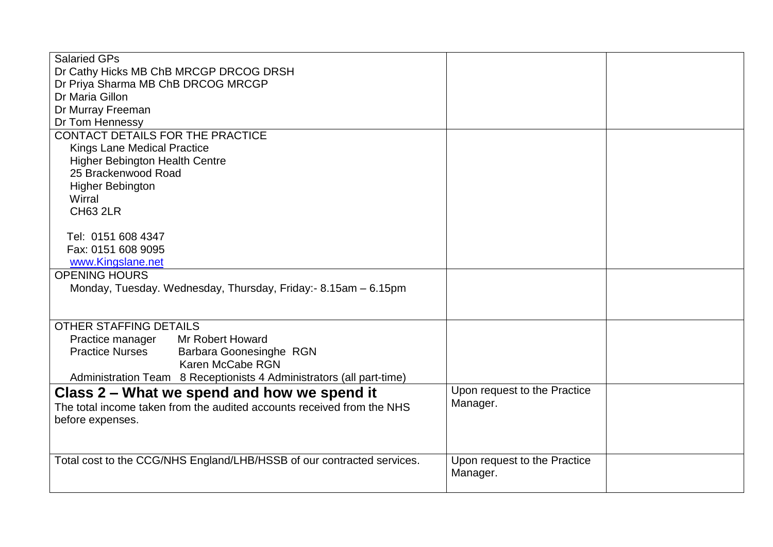| <b>Salaried GPs</b>                                                    |                              |  |
|------------------------------------------------------------------------|------------------------------|--|
| Dr Cathy Hicks MB ChB MRCGP DRCOG DRSH                                 |                              |  |
| Dr Priya Sharma MB ChB DRCOG MRCGP                                     |                              |  |
| Dr Maria Gillon                                                        |                              |  |
| Dr Murray Freeman                                                      |                              |  |
| Dr Tom Hennessy                                                        |                              |  |
| CONTACT DETAILS FOR THE PRACTICE                                       |                              |  |
| <b>Kings Lane Medical Practice</b>                                     |                              |  |
| <b>Higher Bebington Health Centre</b>                                  |                              |  |
| 25 Brackenwood Road                                                    |                              |  |
| <b>Higher Bebington</b>                                                |                              |  |
| Wirral                                                                 |                              |  |
| <b>CH63 2LR</b>                                                        |                              |  |
|                                                                        |                              |  |
| Tel: 0151 608 4347                                                     |                              |  |
| Fax: 0151 608 9095                                                     |                              |  |
| www.Kingslane.net                                                      |                              |  |
| <b>OPENING HOURS</b>                                                   |                              |  |
| Monday, Tuesday. Wednesday, Thursday, Friday:- 8.15am - 6.15pm         |                              |  |
|                                                                        |                              |  |
|                                                                        |                              |  |
| <b>OTHER STAFFING DETAILS</b>                                          |                              |  |
| <b>Mr Robert Howard</b><br>Practice manager                            |                              |  |
| <b>Practice Nurses</b><br>Barbara Goonesinghe RGN<br>Karen McCabe RGN  |                              |  |
|                                                                        |                              |  |
| Administration Team 8 Receptionists 4 Administrators (all part-time)   |                              |  |
| Class 2 – What we spend and how we spend it                            | Upon request to the Practice |  |
| The total income taken from the audited accounts received from the NHS | Manager.                     |  |
| before expenses.                                                       |                              |  |
|                                                                        |                              |  |
|                                                                        |                              |  |
| Total cost to the CCG/NHS England/LHB/HSSB of our contracted services. | Upon request to the Practice |  |
|                                                                        | Manager.                     |  |
|                                                                        |                              |  |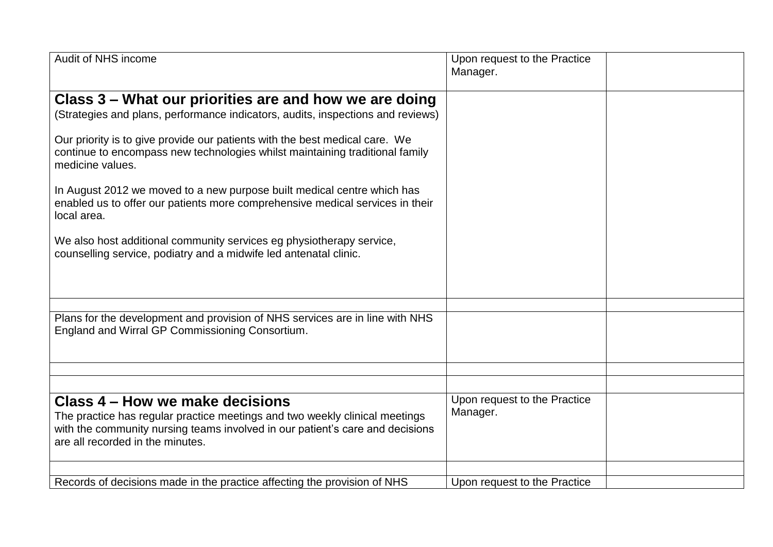| Audit of NHS income                                                                                                                                                                                                                 | Upon request to the Practice<br>Manager. |
|-------------------------------------------------------------------------------------------------------------------------------------------------------------------------------------------------------------------------------------|------------------------------------------|
|                                                                                                                                                                                                                                     |                                          |
| Class 3 – What our priorities are and how we are doing                                                                                                                                                                              |                                          |
| (Strategies and plans, performance indicators, audits, inspections and reviews)                                                                                                                                                     |                                          |
| Our priority is to give provide our patients with the best medical care. We<br>continue to encompass new technologies whilst maintaining traditional family<br>medicine values.                                                     |                                          |
| In August 2012 we moved to a new purpose built medical centre which has<br>enabled us to offer our patients more comprehensive medical services in their<br>local area.                                                             |                                          |
| We also host additional community services eg physiotherapy service,<br>counselling service, podiatry and a midwife led antenatal clinic.                                                                                           |                                          |
|                                                                                                                                                                                                                                     |                                          |
| Plans for the development and provision of NHS services are in line with NHS<br>England and Wirral GP Commissioning Consortium.                                                                                                     |                                          |
|                                                                                                                                                                                                                                     |                                          |
|                                                                                                                                                                                                                                     |                                          |
| Class 4 – How we make decisions<br>The practice has regular practice meetings and two weekly clinical meetings<br>with the community nursing teams involved in our patient's care and decisions<br>are all recorded in the minutes. | Upon request to the Practice<br>Manager. |
| Records of decisions made in the practice affecting the provision of NHS                                                                                                                                                            | Upon request to the Practice             |
|                                                                                                                                                                                                                                     |                                          |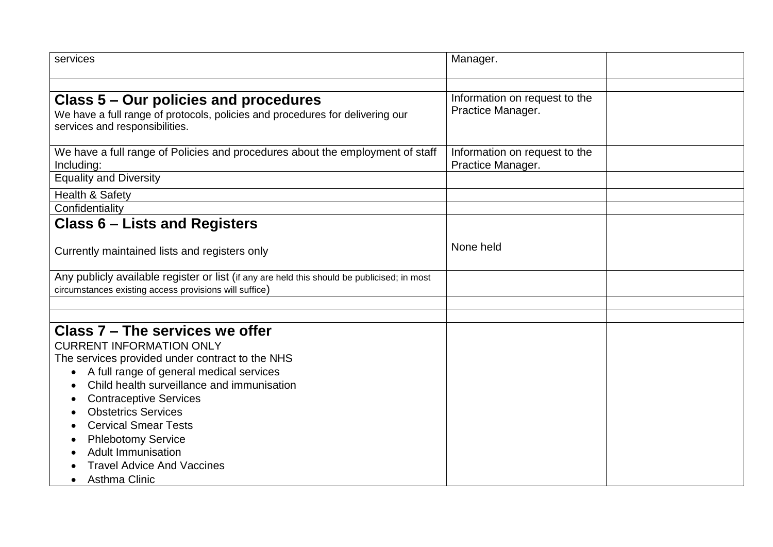| services                                                                                                                                                                                                                                                                                                                                                                                                                                                       | Manager.                                           |  |
|----------------------------------------------------------------------------------------------------------------------------------------------------------------------------------------------------------------------------------------------------------------------------------------------------------------------------------------------------------------------------------------------------------------------------------------------------------------|----------------------------------------------------|--|
| Class 5 – Our policies and procedures<br>We have a full range of protocols, policies and procedures for delivering our<br>services and responsibilities.                                                                                                                                                                                                                                                                                                       | Information on request to the<br>Practice Manager. |  |
| We have a full range of Policies and procedures about the employment of staff<br>Including:<br><b>Equality and Diversity</b>                                                                                                                                                                                                                                                                                                                                   | Information on request to the<br>Practice Manager. |  |
| <b>Health &amp; Safety</b><br>Confidentiality                                                                                                                                                                                                                                                                                                                                                                                                                  |                                                    |  |
| <b>Class 6 – Lists and Registers</b>                                                                                                                                                                                                                                                                                                                                                                                                                           |                                                    |  |
| Currently maintained lists and registers only                                                                                                                                                                                                                                                                                                                                                                                                                  | None held                                          |  |
| Any publicly available register or list (if any are held this should be publicised; in most<br>circumstances existing access provisions will suffice)                                                                                                                                                                                                                                                                                                          |                                                    |  |
|                                                                                                                                                                                                                                                                                                                                                                                                                                                                |                                                    |  |
| Class 7 - The services we offer<br><b>CURRENT INFORMATION ONLY</b><br>The services provided under contract to the NHS<br>A full range of general medical services<br>$\bullet$<br>Child health surveillance and immunisation<br><b>Contraceptive Services</b><br><b>Obstetrics Services</b><br><b>Cervical Smear Tests</b><br><b>Phlebotomy Service</b><br><b>Adult Immunisation</b><br><b>Travel Advice And Vaccines</b><br><b>Asthma Clinic</b><br>$\bullet$ |                                                    |  |